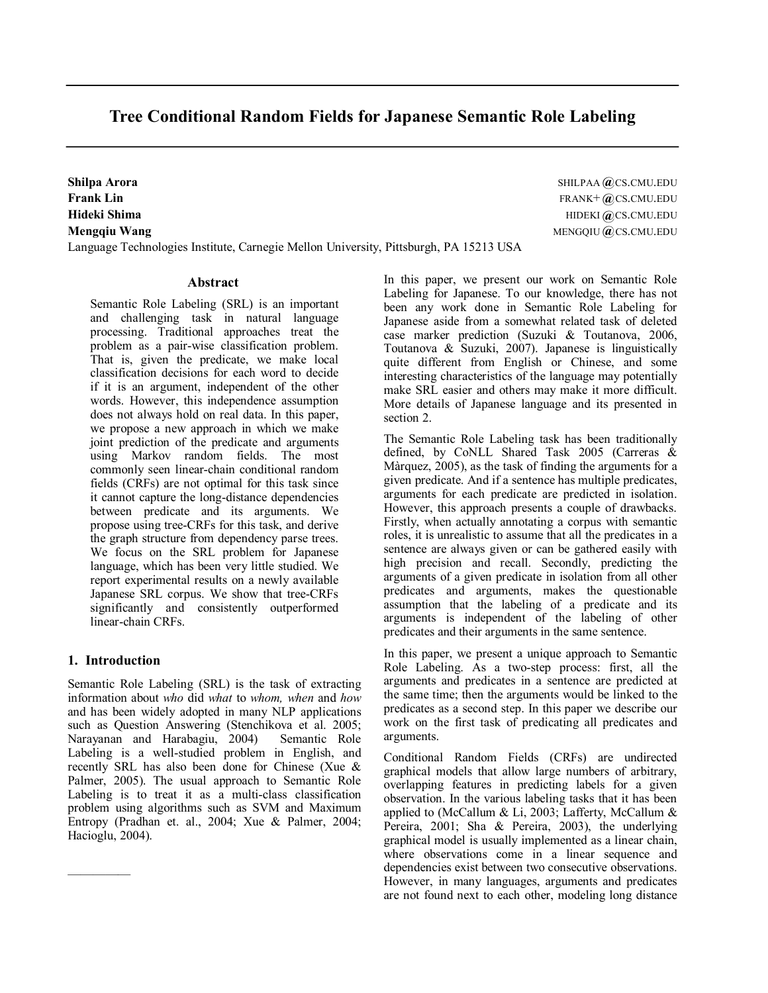# **Tree Conditional Random Fields for Japanese Semantic Role Labeling**

Language Technologies Institute, Carnegie Mellon University, Pittsburgh, PA 15213 USA

# **Abstract**

Semantic Role Labeling (SRL) is an important and challenging task in natural language processing. Traditional approaches treat the problem as a pair-wise classification problem. That is, given the predicate, we make local classification decisions for each word to decide if it is an argument, independent of the other words. However, this independence assumption does not always hold on real data. In this paper, we propose a new approach in which we make joint prediction of the predicate and arguments using Markov random fields. The most commonly seen linear-chain conditional random fields (CRFs) are not optimal for this task since it cannot capture the long-distance dependencies between predicate and its arguments. We propose using treeCRFs for this task, and derive the graph structure from dependency parse trees. We focus on the SRL problem for Japanese language, which has been very little studied. We report experimental results on a newly available Japanese SRL corpus. We show that tree-CRFs significantly and consistently outperformed linear-chain CRFs.

# **1. Introduction**

—————

Semantic Role Labeling (SRL) is the task of extracting information about *who* did *what* to *whom, when* and *how* and has been widely adopted in many NLP applications such as Question Answering (Stenchikova et al. 2005; Narayanan and Harabagiu, 2004) Semantic Role Labeling is a well-studied problem in English, and recently SRL has also been done for Chinese (Xue & Palmer, 2005). The usual approach to Semantic Role Labeling is to treat it as a multi-class classification problem using algorithms such as SVM and Maximum Entropy (Pradhan et. al., 2004; Xue & Palmer, 2004; Hacioglu, 2004).

**Shilpa Arora** Shiller and Shiller and Shiller and Shiller and Shiller and Shiller and Shiller and Shiller and Shiller and Shiller and Shiller and Shiller and Shiller and Shiller and Shiller and Shiller and Shiller and Shi **Frank Lin** FRANK+ **@** CS.CMU.EDU **Hideki Shima** HIDEKI **@** CS.CMU.EDU **Mengqiu Wang** MENGQIU CS.CMU.EDU **@**

> In this paper, we present our work on Semantic Role Labeling for Japanese. To our knowledge, there has not been any work done in Semantic Role Labeling for Japanese aside from a somewhat related task of deleted case marker prediction (Suzuki & Toutanova, 2006, Toutanova & Suzuki, 2007). Japanese is linguistically quite different from English or Chinese, and some interesting characteristics of the language may potentially make SRL easier and others may make it more difficult. More details of Japanese language and its presented in section 2.

> The Semantic Role Labeling task has been traditionally defined, by CoNLL Shared Task 2005 (Carreras & Màrquez, 2005), as the task of finding the arguments for a given predicate. And if a sentence has multiple predicates, arguments for each predicate are predicted in isolation. However, this approach presents a couple of drawbacks. Firstly, when actually annotating a corpus with semantic roles, it is unrealistic to assume that all the predicates in a sentence are always given or can be gathered easily with high precision and recall. Secondly, predicting the arguments of a given predicate in isolation from all other predicates and arguments, makes the questionable assumption that the labeling of a predicate and its arguments is independent of the labeling of other predicates and their arguments in the same sentence.

> In this paper, we present a unique approach to Semantic Role Labeling. As a two-step process: first, all the arguments and predicates in a sentence are predicted at the same time; then the arguments would be linked to the predicates as a second step. In this paper we describe our work on the first task of predicating all predicates and arguments.

> Conditional Random Fields (CRFs) are undirected graphical models that allow large numbers of arbitrary, overlapping features in predicting labels for a given observation. In the various labeling tasks that it has been applied to (McCallum & Li, 2003; Lafferty, McCallum & Pereira, 2001; Sha & Pereira, 2003), the underlying graphical model is usually implemented as a linear chain, where observations come in a linear sequence and dependencies exist between two consecutive observations. However, in many languages, arguments and predicates are not found next to each other, modeling long distance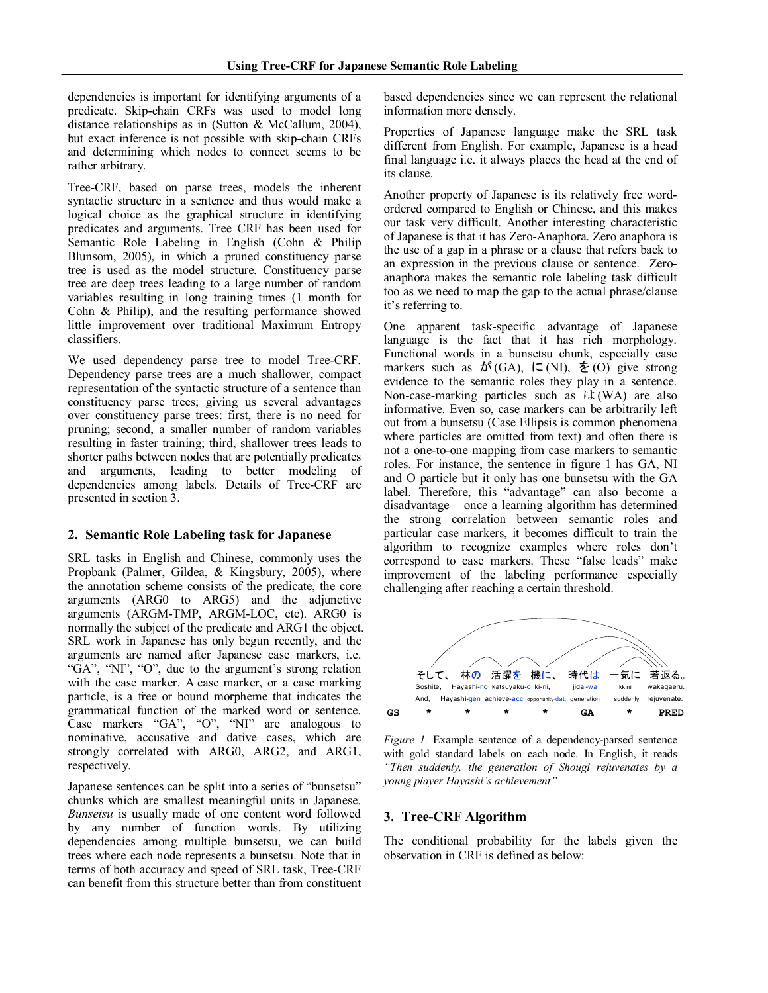dependencies is important for identifying arguments of a predicate. Skip-chain CRFs was used to model long distance relationships as in (Sutton & McCallum, 2004), but exact inference is not possible with skip-chain CRFs and determining which nodes to connect seems to be rather arbitrary.

TreeCRF, based on parse trees, models the inherent syntactic structure in a sentence and thus would make a logical choice as the graphical structure in identifying predicates and arguments. Tree CRF has been used for Semantic Role Labeling in English (Cohn & Philip Blunsom, 2005), in which a pruned constituency parse tree is used as the model structure. Constituency parse tree are deep trees leading to a large number of random variables resulting in long training times (1 month for Cohn & Philip), and the resulting performance showed little improvement over traditional Maximum Entropy classifiers.

We used dependency parse tree to model Tree-CRF. Dependency parse trees are a much shallower, compact representation of the syntactic structure of a sentence than constituency parse trees; giving us several advantages over constituency parse trees: first, there is no need for pruning; second, a smaller number of random variables resulting in faster training; third, shallower trees leads to shorter paths between nodes that are potentially predicates and arguments, leading to better modeling of dependencies among labels. Details of TreeCRF are presented in section 3.

# **2. Semantic Role Labeling task for Japanese**

SRL tasks in English and Chinese, commonly uses the Propbank (Palmer, Gildea, & Kingsbury, 2005), where the annotation scheme consists of the predicate, the core arguments (ARG0 to ARG5) and the adjunctive arguments (ARGM-TMP, ARGM-LOC, etc). ARG0 is normally the subject of the predicate and ARG1 the object. SRL work in Japanese has only begun recently, and the arguments are named after Japanese case markers, i.e. "GA", "NI", "O", due to the argument's strong relation with the case marker. A case marker, or a case marking particle, is a free or bound morpheme that indicates the grammatical function of the marked word or sentence. Case markers "GA", "O", "NI" are analogous to nominative, accusative and dative cases, which are strongly correlated with ARG0, ARG2, and ARG1, respectively.

Japanese sentences can be split into a series of "bunsetsu" chunks which are smallest meaningful units in Japanese. *Bunsetsu* is usually made of one content word followed by any number of function words. By utilizing dependencies among multiple bunsetsu, we can build trees where each node represents a bunsetsu. Note that in terms of both accuracy and speed of SRL task, Tree-CRF can benefit from this structure better than from constituent based dependencies since we can represent the relational information more densely.

Properties of Japanese language make the SRL task different from English. For example, Japanese is a head final language i.e. it always places the head at the end of its clause.

Another property of Japanese is its relatively free wordordered compared to English or Chinese, and this makes our task very difficult. Another interesting characteristic of Japanese is that it has Zero-Anaphora. Zero anaphora is the use of a gap in a phrase or a clause that refers back to an expression in the previous clause or sentence. Zero anaphora makes the semantic role labeling task difficult too as we need to map the gap to the actual phrase/clause it's referring to.

One apparent task-specific advantage of Japanese language is the fact that it has rich morphology. Functional words in a bunsetsu chunk, especially case markers such as  $\phi^*(GA)$ ,  $\zeta(NI)$ ,  $\xi(0)$  give strong evidence to the semantic roles they play in a sentence. Non-case-marking particles such as  $\forall x (WA)$  are also informative. Even so, case markers can be arbitrarily left out from a bunsetsu (Case Ellipsis is common phenomena where particles are omitted from text) and often there is not a one-to-one mapping from case markers to semantic roles. For instance, the sentence in figure 1 has GA, NI and O particle but it only has one bunsetsu with the GA label. Therefore, this "advantage" can also become a disadvantage – once a learning algorithm has determined the strong correlation between semantic roles and particular case markers, it becomes difficult to train the algorithm to recognize examples where roles don't correspond to case markers. These "false leads" make improvement of the labeling performance especially challenging after reaching a certain threshold.



*Figure 1.* Example sentence of a dependency-parsed sentence with gold standard labels on each node. In English, it reads *"Then suddenly, the generation of Shougi rejuvenates by a young player Hayashi's achievement"*

# **3. TreeCRF Algorithm**

The conditional probability for the labels given the observation in CRF is defined as below: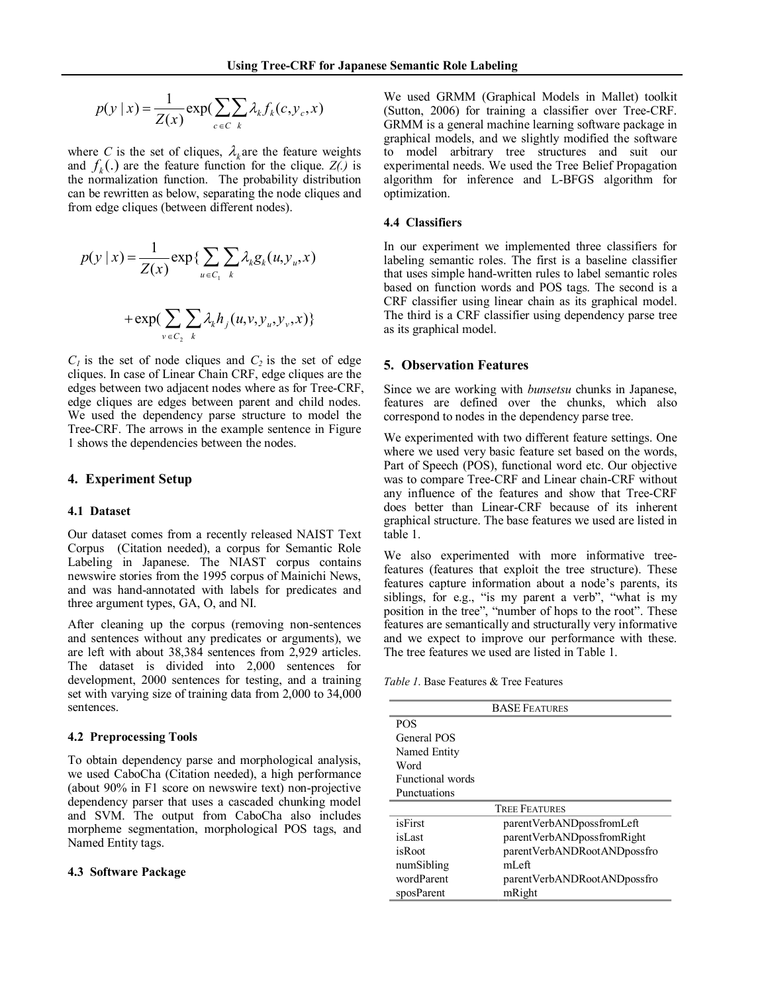$$
p(y \mid x) = \frac{1}{Z(x)} \exp(\sum_{c \in C} \sum_{k} \lambda_k f_k(c, y_c, x))
$$

where *C* is the set of cliques,  $\lambda_k$  are the feature weights and  $f_k(.)$  are the feature function for the clique.  $Z(.)$  is the normalization function. The probability distribution can be rewritten as below, separating the node cliques and from edge cliques (between different nodes).

$$
p(y | x) = \frac{1}{Z(x)} \exp \{ \sum_{u \in C_1} \sum_k \lambda_k g_k(u, y_u, x)
$$

$$
+ \exp \{ \sum_{v \in C_2} \sum_k \lambda_k h_j(u, v, y_u, y_v, x) \}
$$

 $C_1$  is the set of node cliques and  $C_2$  is the set of edge cliques. In case of Linear Chain CRF, edge cliques are the edges between two adjacent nodes where as for Tree-CRF, edge cliques are edges between parent and child nodes. We used the dependency parse structure to model the Tree-CRF. The arrows in the example sentence in Figure 1 shows the dependencies between the nodes.

# **4. Experiment Setup**

### **4.1 Dataset**

Our dataset comes from a recently released NAIST Text Corpus (Citation needed), a corpus for Semantic Role Labeling in Japanese. The NIAST corpus contains newswire stories from the 1995 corpus of Mainichi News, and was hand-annotated with labels for predicates and three argument types, GA, O, and NI.

After cleaning up the corpus (removing non-sentences and sentences without any predicates or arguments), we are left with about 38,384 sentences from 2,929 articles. The dataset is divided into 2,000 sentences for development, 2000 sentences for testing, and a training set with varying size of training data from 2,000 to 34,000 sentences.

# **4.2 Preprocessing Tools**

To obtain dependency parse and morphological analysis, we used CaboCha (Citation needed), a high performance (about  $90\%$  in F1 score on newswire text) non-projective dependency parser that uses a cascaded chunking model and SVM. The output from CaboCha also includes morpheme segmentation, morphological POS tags, and Named Entity tags.

#### **4.3 Software Package**

We used GRMM (Graphical Models in Mallet) toolkit (Sutton, 2006) for training a classifier over Tree-CRF. GRMM is a general machine learning software package in graphical models, and we slightly modified the software to model arbitrary tree structures and suit our experimental needs. We used the Tree Belief Propagation algorithm for inference and L-BFGS algorithm for optimization.

# **4.4 Classifiers**

In our experiment we implemented three classifiers for labeling semantic roles. The first is a baseline classifier that uses simple hand-written rules to label semantic roles based on function words and POS tags. The second is a CRF classifier using linear chain as its graphical model. The third is a CRF classifier using dependency parse tree as its graphical model.

# **5. Observation Features**

Since we are working with *bunsetsu* chunks in Japanese, features are defined over the chunks, which also correspond to nodes in the dependency parse tree.

We experimented with two different feature settings. One where we used very basic feature set based on the words, Part of Speech (POS), functional word etc. Our objective was to compare Tree-CRF and Linear chain-CRF without any influence of the features and show that Tree-CRF does better than Linear-CRF because of its inherent graphical structure. The base features we used are listed in table 1.

We also experimented with more informative tree features (features that exploit the tree structure). These features capture information about a node's parents, its siblings, for e.g., "is my parent a verb", "what is my position in the tree", "number of hops to the root". These features are semantically and structurally very informative and we expect to improve our performance with these. The tree features we used are listed in Table 1.

*Table 1*. Base Features & Tree Features

| <b>BASE FEATURES</b>    |                             |  |  |  |
|-------------------------|-----------------------------|--|--|--|
| <b>POS</b>              |                             |  |  |  |
| General POS             |                             |  |  |  |
| Named Entity            |                             |  |  |  |
| Word                    |                             |  |  |  |
| <b>Functional</b> words |                             |  |  |  |
| Punctuations            |                             |  |  |  |
| <b>TREE FEATURES</b>    |                             |  |  |  |
| isFirst                 | parentVerbANDpossfromLeft   |  |  |  |
| isLast                  | parentVerbANDpossfromRight  |  |  |  |
| isRoot                  | parentVerbANDRootANDpossfro |  |  |  |
| numSibling              | mLeft                       |  |  |  |
| wordParent              | parentVerbANDRootANDpossfro |  |  |  |
| sposParent              | mRight                      |  |  |  |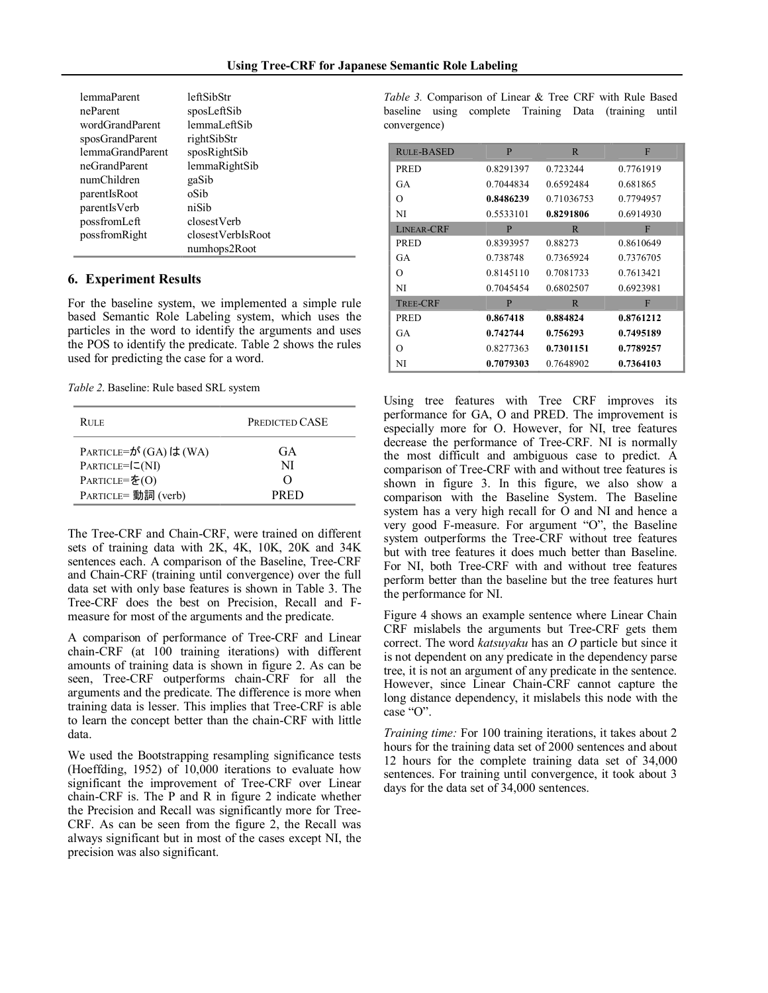| lemmaParent      | leftSibStr        |
|------------------|-------------------|
| neParent         | sposLeftSib       |
| wordGrandParent  | lemmaLeftSib      |
| sposGrandParent  | rightSibStr       |
| lemmaGrandParent | sposRightSib      |
| neGrandParent    | lemmaRightSib     |
| numChildren      | gaSib             |
| parentIsRoot     | oSib              |
| parentIsVerb     | niSib             |
| possfromLeft     | closestVerb       |
| possfromRight    | closestVerbIsRoot |
|                  | numhops2Root      |

# **6. Experiment Results**

For the baseline system, we implemented a simple rule based Semantic Role Labeling system, which uses the particles in the word to identify the arguments and uses the POS to identify the predicate. Table 2 shows the rules used for predicting the case for a word.

*Table 2*. Baseline: Rule based SRL system

| <b>RULE</b>                                                                             | <b>PREDICTED CASE</b>   |  |
|-----------------------------------------------------------------------------------------|-------------------------|--|
| PARTICLE=が (GA) は (WA)<br>$PARTICLE = [CNI]$<br>PARTICLE=を $(O)$<br>PARTICLE= 動詞 (verb) | GA<br>NI<br><b>PRED</b> |  |

The Tree-CRF and Chain-CRF, were trained on different sets of training data with 2K, 4K, 10K, 20K and 34K sentences each. A comparison of the Baseline, Tree-CRF and Chain-CRF (training until convergence) over the full data set with only base features is shown in Table 3. The TreeCRF does the best on Precision, Recall and F measure for most of the arguments and the predicate.

A comparison of performance of TreeCRF and Linear chain-CRF (at 100 training iterations) with different amounts of training data is shown in figure 2. As can be seen, Tree-CRF outperforms chain-CRF for all the arguments and the predicate. The difference is more when training data is lesser. This implies that TreeCRF is able to learn the concept better than the chain-CRF with little data.

We used the Bootstrapping resampling significance tests (Hoeffding, 1952) of 10,000 iterations to evaluate how significant the improvement of Tree-CRF over Linear chain-CRF is. The P and R in figure 2 indicate whether the Precision and Recall was significantly more for Tree CRF. As can be seen from the figure 2, the Recall was always significant but in most of the cases except NI, the precision was also significant.

*Table 3.* Comparison of Linear & Tree CRF with Rule Based baseline using complete Training Data (training until convergence)

| RULE-BASED      | P         | $\mathbb{R}$ | F         |
|-----------------|-----------|--------------|-----------|
| <b>PRED</b>     | 0.8291397 | 0.723244     | 0.7761919 |
| GA              | 0.7044834 | 0.6592484    | 0.681865  |
| O               | 0.8486239 | 0.71036753   | 0.7794957 |
| NI              | 0.5533101 | 0.8291806    | 0.6914930 |
| LINEAR-CRF      | P         | R            | F         |
| <b>PRED</b>     | 0.8393957 | 0.88273      | 0.8610649 |
| GA              | 0.738748  | 0.7365924    | 0.7376705 |
| O               | 0.8145110 | 0.7081733    | 0.7613421 |
| NI              | 0.7045454 | 0.6802507    | 0.6923981 |
| <b>TREE-CRF</b> | P         | $\mathbb{R}$ | F         |
| <b>PRED</b>     | 0.867418  | 0.884824     | 0.8761212 |
| GA              | 0.742744  | 0.756293     | 0.7495189 |
| O               | 0.8277363 | 0.7301151    | 0.7789257 |
| NI              | 0.7079303 | 0.7648902    | 0.7364103 |

Using tree features with Tree CRF improves its performance for GA, O and PRED. The improvement is especially more for O. However, for NI, tree features decrease the performance of Tree-CRF. NI is normally the most difficult and ambiguous case to predict. A comparison of Tree-CRF with and without tree features is shown in figure 3. In this figure, we also show a comparison with the Baseline System. The Baseline system has a very high recall for O and NI and hence a very good F-measure. For argument "O", the Baseline system outperforms the TreeCRF without tree features but with tree features it does much better than Baseline. For NI, both Tree-CRF with and without tree features perform better than the baseline but the tree features hurt the performance for NI.

Figure 4 shows an example sentence where Linear Chain CRF mislabels the arguments but Tree-CRF gets them correct. The word *katsuyaku* has an *O* particle but since it is not dependent on any predicate in the dependency parse tree, it is not an argument of any predicate in the sentence. However, since Linear Chain-CRF cannot capture the long distance dependency, it mislabels this node with the case "O".

*Training time:* For 100 training iterations, it takes about 2 hours for the training data set of 2000 sentences and about 12 hours for the complete training data set of 34,000 sentences. For training until convergence, it took about 3 days for the data set of 34,000 sentences.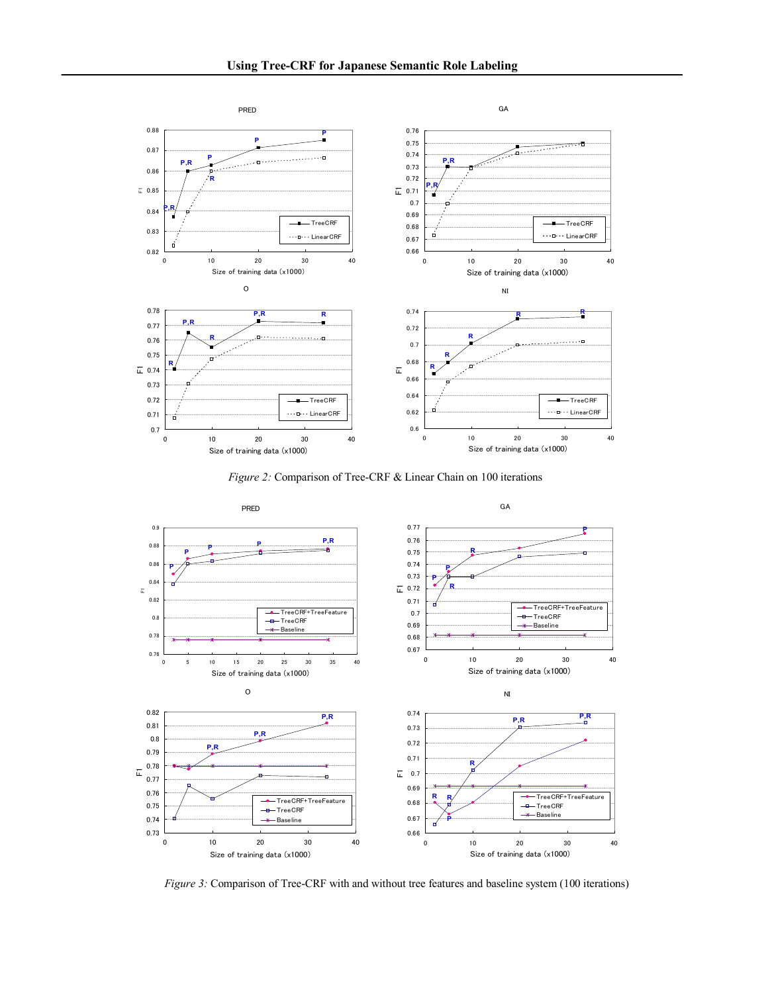

*Figure 2:* Comparison of Tree-CRF & Linear Chain on 100 iterations



*Figure* 3: Comparison of Tree-CRF with and without tree features and baseline system (100 iterations)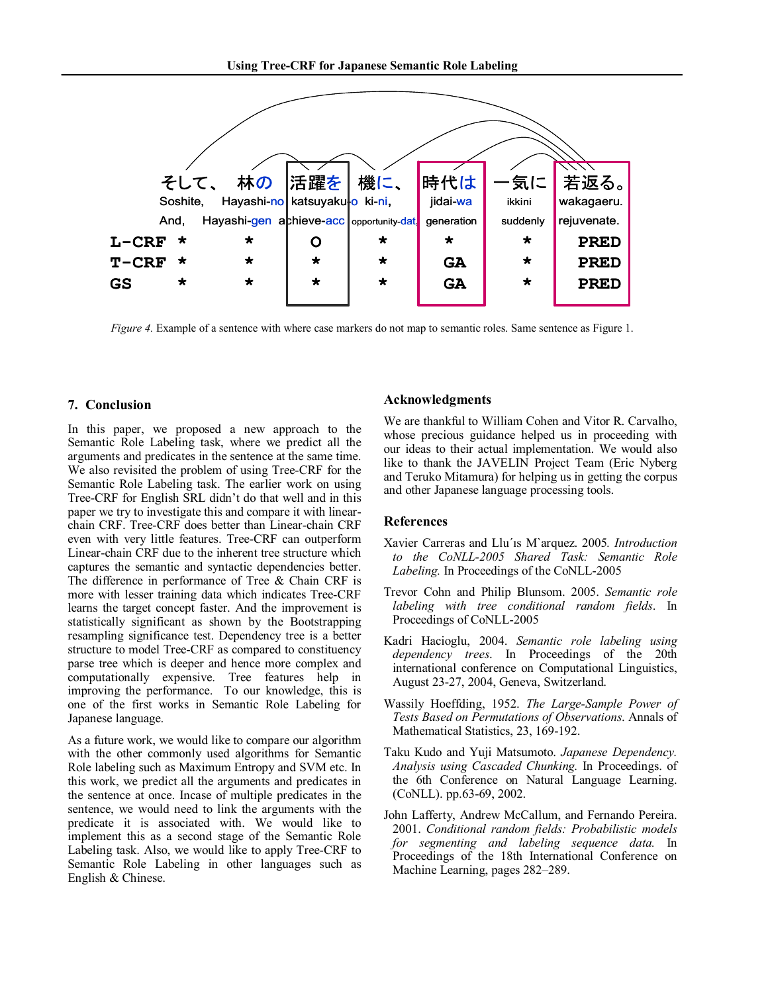

*Figure* 4. Example of a sentence with where case markers do not map to semantic roles. Same sentence as Figure 1.

# **7. Conclusion**

In this paper, we proposed a new approach to the Semantic Role Labeling task, where we predict all the arguments and predicates in the sentence at the same time. We also revisited the problem of using Tree-CRF for the Semantic Role Labeling task. The earlier work on using TreeCRF for English SRL didn't do that well and in this paper we try to investigate this and compare it with linear chain CRF. Tree-CRF does better than Linear-chain CRF even with very little features. Tree-CRF can outperform Linear-chain CRF due to the inherent tree structure which captures the semantic and syntactic dependencies better. The difference in performance of Tree & Chain CRF is more with lesser training data which indicates Tree-CRF learns the target concept faster. And the improvement is statistically significant as shown by the Bootstrapping resampling significance test. Dependency tree is a better structure to model Tree-CRF as compared to constituency parse tree which is deeper and hence more complex and computationally expensive. Tree features help in improving the performance. To our knowledge, this is one of the first works in Semantic Role Labeling for Japanese language.

As a future work, we would like to compare our algorithm with the other commonly used algorithms for Semantic Role labeling such as Maximum Entropy and SVM etc. In this work, we predict all the arguments and predicates in the sentence at once. Incase of multiple predicates in the sentence, we would need to link the arguments with the predicate it is associated with. We would like to implement this as a second stage of the Semantic Role Labeling task. Also, we would like to apply Tree-CRF to Semantic Role Labeling in other languages such as English & Chinese.

# **Acknowledgments**

We are thankful to William Cohen and Vitor R. Carvalho, whose precious guidance helped us in proceeding with our ideas to their actual implementation. We would also like to thank the JAVELIN Project Team (Eric Nyberg and Teruko Mitamura) for helping us in getting the corpus and other Japanese language processing tools.

# **References**

- Xavier Carreras and Llu´ıs M`arquez. 2005*. Introduction to the CoNLL2005 Shared Task: Semantic Role* Labeling. In Proceedings of the CoNLL-2005
- Trevor Cohn and Philip Blunsom. 2005. *Semantic role labeling with tree conditional random fields*. In Proceedings of CoNLL-2005
- Kadri Hacioglu, 2004. *Semantic role labeling using dependency trees*. In Proceedings of the 20th international conference on Computational Linguistics, August 23-27, 2004, Geneva, Switzerland.
- Wassily Hoeffding, 1952. *The Large-Sample Power of Tests Based on Permutations of Observations*. Annals of Mathematical Statistics, 23, 169-192.
- Taku Kudo and Yuji Matsumoto. *Japanese Dependency. Analysis using Cascaded Chunking.* In Proceedings. of the 6th Conference on Natural Language Learning.  $(CoNLL)$ . pp.63-69, 2002.
- John Lafferty, Andrew McCallum, and Fernando Pereira. 2001. *Conditional random fields: Probabilistic models for segmenting and labeling sequence data.* In Proceedings of the 18th International Conference on Machine Learning, pages 282–289.